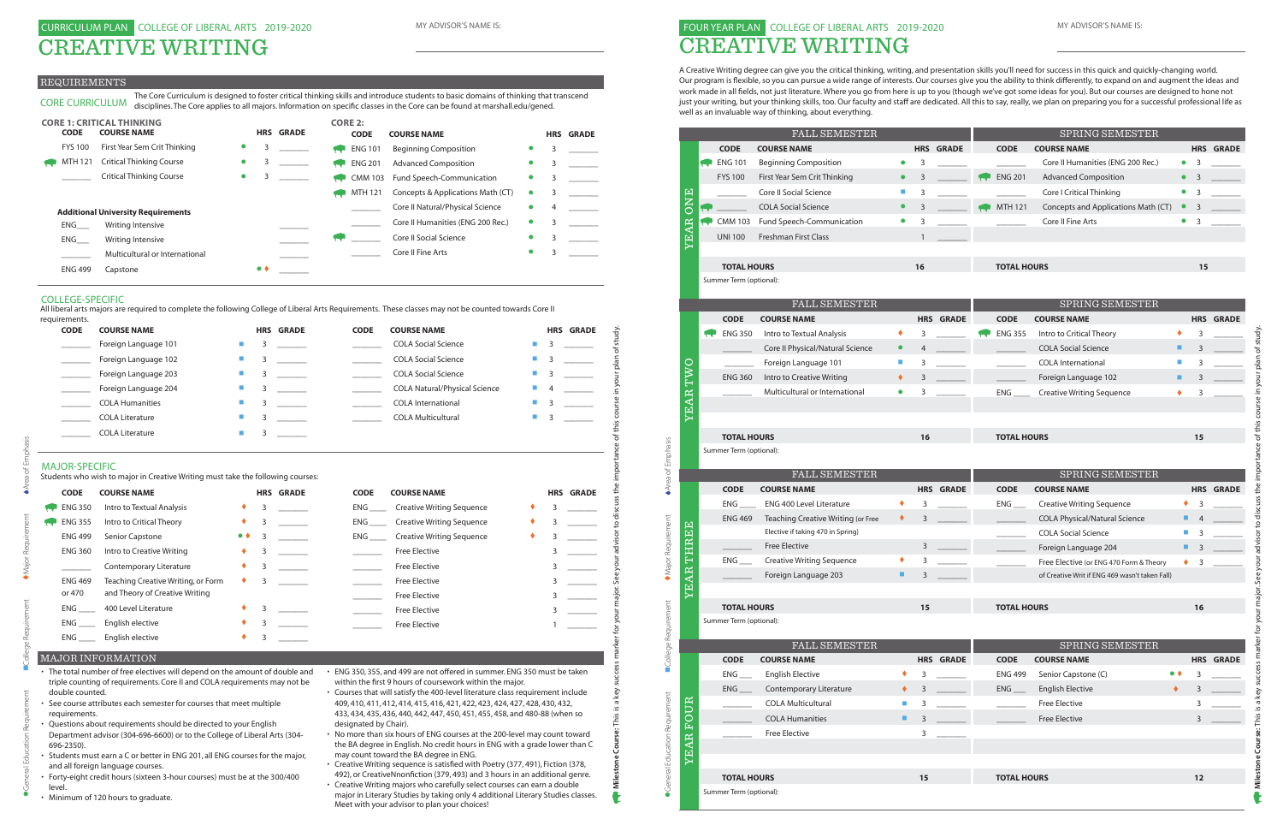### REQUIREMENTS

### MAJOR-SPECIFIC

| <b>CODE</b>                                             | <b>COURSE NAME</b>                                                                                                                                                                                                                                                                                                                                                                                                                                                                                                                                                                      |                             |   | <b>HRS GRADE</b> | <b>CODE</b>                             | <b>COURSE NAME</b>                                                                                                                                                                                                                                                                                                                                                                                                                                                                                                                                                                                                                                                                                                                                                                                                                   |                | <b>HRS GRADE</b>                                            |
|---------------------------------------------------------|-----------------------------------------------------------------------------------------------------------------------------------------------------------------------------------------------------------------------------------------------------------------------------------------------------------------------------------------------------------------------------------------------------------------------------------------------------------------------------------------------------------------------------------------------------------------------------------------|-----------------------------|---|------------------|-----------------------------------------|--------------------------------------------------------------------------------------------------------------------------------------------------------------------------------------------------------------------------------------------------------------------------------------------------------------------------------------------------------------------------------------------------------------------------------------------------------------------------------------------------------------------------------------------------------------------------------------------------------------------------------------------------------------------------------------------------------------------------------------------------------------------------------------------------------------------------------------|----------------|-------------------------------------------------------------|
|                                                         | Foreign Language 101                                                                                                                                                                                                                                                                                                                                                                                                                                                                                                                                                                    |                             | 3 |                  |                                         | <b>COLA Social Science</b>                                                                                                                                                                                                                                                                                                                                                                                                                                                                                                                                                                                                                                                                                                                                                                                                           | 3              |                                                             |
| $\sim$                                                  | Foreign Language 102                                                                                                                                                                                                                                                                                                                                                                                                                                                                                                                                                                    | <b>COL</b>                  | 3 |                  |                                         | <b>COLA Social Science</b>                                                                                                                                                                                                                                                                                                                                                                                                                                                                                                                                                                                                                                                                                                                                                                                                           | 3              |                                                             |
| $\sim$                                                  | Foreign Language 203                                                                                                                                                                                                                                                                                                                                                                                                                                                                                                                                                                    | <b>In</b>                   | 3 |                  |                                         | <b>COLA Social Science</b>                                                                                                                                                                                                                                                                                                                                                                                                                                                                                                                                                                                                                                                                                                                                                                                                           | 3              |                                                             |
| $\mathcal{L}_{\rm{max}}$ , and $\mathcal{L}_{\rm{max}}$ | Foreign Language 204                                                                                                                                                                                                                                                                                                                                                                                                                                                                                                                                                                    | $\mathcal{L}_{\mathcal{A}}$ | 3 |                  |                                         | <b>COLA Natural/Physical Science</b>                                                                                                                                                                                                                                                                                                                                                                                                                                                                                                                                                                                                                                                                                                                                                                                                 |                |                                                             |
| <b>Contract Contract</b>                                | <b>COLA Humanities</b>                                                                                                                                                                                                                                                                                                                                                                                                                                                                                                                                                                  | L.                          | 3 |                  | $\mathcal{L}^{\text{max}}_{\text{max}}$ | <b>COLA</b> International                                                                                                                                                                                                                                                                                                                                                                                                                                                                                                                                                                                                                                                                                                                                                                                                            | 3              |                                                             |
|                                                         | <b>COLA Literature</b>                                                                                                                                                                                                                                                                                                                                                                                                                                                                                                                                                                  | T.                          | 3 |                  |                                         | <b>COLA Multicultural</b>                                                                                                                                                                                                                                                                                                                                                                                                                                                                                                                                                                                                                                                                                                                                                                                                            | 3              |                                                             |
|                                                         | <b>COLA Literature</b>                                                                                                                                                                                                                                                                                                                                                                                                                                                                                                                                                                  | $\mathcal{L}_{\mathcal{A}}$ | 3 |                  |                                         |                                                                                                                                                                                                                                                                                                                                                                                                                                                                                                                                                                                                                                                                                                                                                                                                                                      |                |                                                             |
| <b>MAJOR-SPECIFIC</b>                                   | Students who wish to major in Creative Writing must take the following courses:                                                                                                                                                                                                                                                                                                                                                                                                                                                                                                         |                             |   |                  |                                         |                                                                                                                                                                                                                                                                                                                                                                                                                                                                                                                                                                                                                                                                                                                                                                                                                                      |                |                                                             |
| <b>CODE</b>                                             | <b>COURSE NAME</b>                                                                                                                                                                                                                                                                                                                                                                                                                                                                                                                                                                      |                             |   | <b>HRS GRADE</b> | <b>CODE</b>                             | <b>COURSE NAME</b>                                                                                                                                                                                                                                                                                                                                                                                                                                                                                                                                                                                                                                                                                                                                                                                                                   |                | <b>HRS GRADE</b>                                            |
| <b>ENG 350</b>                                          | Intro to Textual Analysis                                                                                                                                                                                                                                                                                                                                                                                                                                                                                                                                                               | ٠                           | 3 |                  | <b>ENG</b>                              | <b>Creative Writing Sequence</b>                                                                                                                                                                                                                                                                                                                                                                                                                                                                                                                                                                                                                                                                                                                                                                                                     | 3              |                                                             |
| <b>ENG 355</b>                                          | Intro to Critical Theory                                                                                                                                                                                                                                                                                                                                                                                                                                                                                                                                                                | ٠                           | 3 |                  | $ENG$ <sub>_____</sub>                  | <b>Creative Writing Sequence</b>                                                                                                                                                                                                                                                                                                                                                                                                                                                                                                                                                                                                                                                                                                                                                                                                     | 3              |                                                             |
| <b>ENG 499</b>                                          | Senior Capstone                                                                                                                                                                                                                                                                                                                                                                                                                                                                                                                                                                         | $\bullet$ $\bullet$         | 3 |                  | $ENG$ <sub>_____</sub>                  | <b>Creative Writing Sequence</b>                                                                                                                                                                                                                                                                                                                                                                                                                                                                                                                                                                                                                                                                                                                                                                                                     | 3              |                                                             |
| <b>ENG 360</b>                                          | Intro to Creative Writing                                                                                                                                                                                                                                                                                                                                                                                                                                                                                                                                                               |                             | 3 |                  | $\overline{\phantom{a}}$                | <b>Free Elective</b>                                                                                                                                                                                                                                                                                                                                                                                                                                                                                                                                                                                                                                                                                                                                                                                                                 | 3              |                                                             |
| $\mathcal{L}^{\text{max}}_{\text{max}}$                 | Contemporary Literature                                                                                                                                                                                                                                                                                                                                                                                                                                                                                                                                                                 | ٠                           | 3 |                  | $\mathcal{L}^{\text{max}}$ .            | Free Elective                                                                                                                                                                                                                                                                                                                                                                                                                                                                                                                                                                                                                                                                                                                                                                                                                        | 3              |                                                             |
| <b>ENG 469</b>                                          | Teaching Creative Writing, or Form                                                                                                                                                                                                                                                                                                                                                                                                                                                                                                                                                      | ٠                           | 3 |                  | $\overline{\phantom{a}}$                | <b>Free Elective</b>                                                                                                                                                                                                                                                                                                                                                                                                                                                                                                                                                                                                                                                                                                                                                                                                                 | 3              | $\mathcal{L}^{\text{max}}$ , and $\mathcal{L}^{\text{max}}$ |
| or 470                                                  | and Theory of Creative Writing                                                                                                                                                                                                                                                                                                                                                                                                                                                                                                                                                          |                             |   |                  |                                         | <b>Free Elective</b>                                                                                                                                                                                                                                                                                                                                                                                                                                                                                                                                                                                                                                                                                                                                                                                                                 | $\overline{3}$ | $\sim$                                                      |
|                                                         | 400 Level Literature                                                                                                                                                                                                                                                                                                                                                                                                                                                                                                                                                                    | ٠                           | 3 |                  | $\sim$                                  | Free Elective                                                                                                                                                                                                                                                                                                                                                                                                                                                                                                                                                                                                                                                                                                                                                                                                                        | 3              | $\overline{\phantom{a}}$                                    |
|                                                         | English elective                                                                                                                                                                                                                                                                                                                                                                                                                                                                                                                                                                        |                             | 3 |                  |                                         | <b>Free Elective</b>                                                                                                                                                                                                                                                                                                                                                                                                                                                                                                                                                                                                                                                                                                                                                                                                                 | $\mathbf{1}$   |                                                             |
| $ENG$ <sub>_____</sub>                                  | English elective                                                                                                                                                                                                                                                                                                                                                                                                                                                                                                                                                                        |                             | 3 |                  |                                         |                                                                                                                                                                                                                                                                                                                                                                                                                                                                                                                                                                                                                                                                                                                                                                                                                                      |                |                                                             |
|                                                         | <b>MAJOR INFORMATION</b>                                                                                                                                                                                                                                                                                                                                                                                                                                                                                                                                                                |                             |   |                  |                                         |                                                                                                                                                                                                                                                                                                                                                                                                                                                                                                                                                                                                                                                                                                                                                                                                                                      |                |                                                             |
| double counted.<br>requirements.<br>696-2350).          | • The total number of free electives will depend on the amount of double and<br>triple counting of requirements. Core II and COLA requirements may not be<br>• See course attributes each semester for courses that meet multiple<br>• Questions about requirements should be directed to your English<br>Department advisor (304-696-6600) or to the College of Liberal Arts (304-<br>• Students must earn a C or better in ENG 201, all ENG courses for the major,<br>and all foreign language courses.<br>• Forty-eight credit hours (sixteen 3-hour courses) must be at the 300/400 |                             |   |                  | designated by Chair).                   | • ENG 350, 355, and 499 are not offered in summer. ENG 350 must be taken<br>within the first 9 hours of coursework within the major.<br>• Courses that will satisfy the 400-level literature class requirement include<br>409, 410, 411, 412, 414, 415, 416, 421, 422, 423, 424, 427, 428, 430, 432,<br>433, 434, 435, 436, 440, 442, 447, 450, 451, 455, 458, and 480-88 (when so<br>• No more than six hours of ENG courses at the 200-level may count toward<br>the BA degree in English. No credit hours in ENG with a grade lower than C<br>may count toward the BA degree in ENG.<br>• Creative Writing sequence is satisfied with Poetry (377, 491), Fiction (378,<br>492), or CreativeNnonfiction (379, 493) and 3 hours in an additional genre.<br>• Creative Writing majors who carefully select courses can earn a double |                |                                                             |

# $\bullet$ General Education Requirement  $\qquad \bullet$  Major Requirement  $\bullet$  Area of Emphasis

- The total number of free electives will depend on the amount of double and ENG 350, 355, and 499 are not offered in summer. ENG 350 must be taken
- 
- 
- 
- 
- Minimum of 120 hours to graduate.

CORE CURRICULUM The Core Curriculum is designed to foster critical thinking skills and introduce students to basic domains of thinking that transcend disciplines. The Core applies to all majors. Information on specific classes in the Core can be found at marshall.edu/gened.

| <b>CORE 1: CRITICAL THINKING</b> |  |                                           |           |              |                  | <b>CORE 2:</b> |                |                                   |           |   |                  |
|----------------------------------|--|-------------------------------------------|-----------|--------------|------------------|----------------|----------------|-----------------------------------|-----------|---|------------------|
| <b>CODE</b>                      |  | <b>COURSE NAME</b>                        |           |              | <b>HRS GRADE</b> |                | <b>CODE</b>    | <b>COURSE NAME</b>                |           |   | <b>HRS GRADE</b> |
| <b>FYS 100</b>                   |  | First Year Sem Crit Thinking              | $\bullet$ | 3            |                  |                | <b>ENG 101</b> | <b>Beginning Composition</b>      |           | 3 |                  |
| <b>MTH 121</b>                   |  | <b>Critical Thinking Course</b>           |           |              |                  |                | <b>ENG 201</b> | <b>Advanced Composition</b>       | $\bullet$ | 3 |                  |
|                                  |  | <b>Critical Thinking Course</b>           |           |              |                  |                | <b>CMM 103</b> | Fund Speech-Communication         |           | 3 |                  |
|                                  |  |                                           |           |              |                  |                | MTH 121        | Concepts & Applications Math (CT) |           | 3 |                  |
|                                  |  | <b>Additional University Requirements</b> |           |              |                  |                |                | Core II Natural/Physical Science  |           | 4 |                  |
| ENG                              |  | Writing Intensive                         |           |              |                  |                |                | Core II Humanities (ENG 200 Rec.) |           | 3 |                  |
| ENG                              |  | Writing Intensive                         |           |              |                  |                |                | <b>Core II Social Science</b>     |           | 3 |                  |
|                                  |  | Multicultural or International            |           |              |                  |                |                | Core II Fine Arts                 |           | 3 |                  |
| <b>ENG 499</b>                   |  | Capstone                                  |           | $\bullet\ 4$ |                  |                |                |                                   |           |   |                  |

- Courses that will satisfy the 400-level literature class requirement include 409, 410, 411, 412, 414, 415, 416, 421, 422, 423, 424, 427, 428, 430, 432, 433, 434, 435, 436, 440, 442, 447, 450, 451, 455, 458, and 480-88 (when so designated by Chair).
- No more than six hours of ENG courses at the 200-level may count toward the BA degree in English. No credit hours in ENG with a grade lower than C may count toward the BA degree in ENG.
- Creative Writing sequence is satisfied with Poetry (377, 491), Fiction (378, 492), or CreativeNnonfiction (379, 493) and 3 hours in an additional genre.
- Creative Writing majors who carefully select courses can earn a double
- major in Literary Studies by taking only 4 additional Literary Studies classes. Meet with your advisor to plan your choices!

### MAJOR INFORMATION

### COLLEGE-SPECIFIC

All liberal arts majors are required to complete the following College of Liberal Arts Requirements. These classes may not be counted towards Core II

| requirements. |                        |   |                  |             |                                      |                   |                  |
|---------------|------------------------|---|------------------|-------------|--------------------------------------|-------------------|------------------|
| <b>CODE</b>   | <b>COURSE NAME</b>     |   | <b>HRS GRADE</b> | <b>CODE</b> | <b>COURSE NAME</b>                   |                   | <b>HRS GRADE</b> |
|               | Foreign Language 101   |   |                  |             | <b>COLA Social Science</b>           | <b>In</b>         |                  |
|               | Foreign Language 102   |   |                  |             | <b>COLA Social Science</b>           | <b>CONTRACTOR</b> |                  |
|               | Foreign Language 203   | 3 |                  |             | <b>COLA Social Science</b>           | $\blacksquare$ 3  |                  |
|               | Foreign Language 204   |   |                  |             | <b>COLA Natural/Physical Science</b> | <b>Contract</b>   | $\overline{4}$   |
|               | <b>COLA Humanities</b> |   |                  |             | <b>COLA International</b>            | <b>CONTRACTOR</b> |                  |
|               | <b>COLA Literature</b> |   |                  |             | <b>COLA Multicultural</b>            | <b>CONTRACTOR</b> |                  |
|               | <b>COLA Literature</b> |   |                  |             |                                      |                   |                  |

# 0 MY ADVISOR'S NAME IS: THE SERVICE OF LIBERAL ARTS 2019-2020 CREATIVE WRITING

A Creative Writing degree can give you the critical thinking, writing, and presentation skills you'll need for success in this quick and quickly-changing world. Our program is fexible, so you can pursue a wide range of interests. Our courses give you the ability to think di ferently, to expand on and augment the ideas and work made in all felds, not just literature. Where you go from here is up to you (though we've got some ideas for you). But our courses are designed to hone not just your writing, but your thinking skills, too. Our faculty and staff are dedicated. All this to say, really, we plan on preparing you for a successful professional life as well as an invaluable way of thinking, about everything.

|                                        |              |                         | FALL SEMESTER                              |                             |    |                  |                      | SPRING SEMESTER                                |                             |    |                  |
|----------------------------------------|--------------|-------------------------|--------------------------------------------|-----------------------------|----|------------------|----------------------|------------------------------------------------|-----------------------------|----|------------------|
|                                        |              | <b>CODE</b>             | <b>COURSE NAME</b>                         |                             |    | <b>HRS GRADE</b> | <b>CODE</b>          | <b>COURSE NAME</b>                             |                             |    | <b>HRS GRADE</b> |
|                                        |              | <b>ENG 101</b>          | <b>Beginning Composition</b>               | $\bullet$                   | 3  |                  |                      | Core II Humanities (ENG 200 Rec.)              | $\bullet$                   | 3  |                  |
|                                        |              | <b>FYS 100</b>          | First Year Sem Crit Thinking               |                             | 3  |                  | <b>ENG 201</b>       | <b>Advanced Composition</b>                    | $\bullet$                   | 3  |                  |
|                                        |              |                         | Core II Social Science                     |                             | 3  |                  |                      | Core I Critical Thinking                       | $\bullet$                   | 3  |                  |
|                                        | <b>ONE</b>   |                         | <b>COLA Social Science</b>                 |                             | 3  |                  | <b>MTH 121</b>       | Concepts and Applications Math (CT)            |                             | 3  |                  |
|                                        |              | <b>CMM 103</b>          | Fund Speech-Communication                  | $\bullet$                   | 3  |                  |                      | Core II Fine Arts                              | $\bullet$                   | 3  |                  |
|                                        | <b>YEAR</b>  | <b>UNI 100</b>          | Freshman First Class                       |                             |    |                  |                      |                                                |                             |    |                  |
|                                        |              |                         |                                            |                             |    |                  |                      |                                                |                             |    |                  |
|                                        |              | <b>TOTAL HOURS</b>      |                                            |                             | 16 |                  | <b>TOTAL HOURS</b>   |                                                |                             | 15 |                  |
|                                        |              | Summer Term (optional): |                                            |                             |    |                  |                      |                                                |                             |    |                  |
|                                        |              |                         | <b>FALL SEMESTER</b>                       |                             |    |                  |                      | SPRING SEMESTER                                |                             |    |                  |
|                                        |              | <b>CODE</b>             | <b>COURSE NAME</b>                         |                             |    | <b>HRS GRADE</b> | <b>CODE</b>          | <b>COURSE NAME</b>                             |                             |    | <b>HRS GRADE</b> |
|                                        |              | <b>ENG 350</b>          | Intro to Textual Analysis                  | ٠                           | 3  |                  | <b>ENG 355</b>       | Intro to Critical Theory                       | ٠                           | 3  |                  |
|                                        |              |                         | Core II Physical/Natural Science           | $\bullet$                   | 4  |                  |                      | <b>COLA Social Science</b>                     | ш                           | 3  |                  |
|                                        |              |                         | Foreign Language 101                       | $\mathcal{L}_{\mathcal{A}}$ | 3  |                  |                      | <b>COLA</b> International                      | $\mathcal{L}_{\mathcal{A}}$ | 3  |                  |
|                                        | TWO          | <b>ENG 360</b>          | Intro to Creative Writing                  | ٠                           | 3  |                  |                      | Foreign Language 102                           | ш                           | 3  |                  |
|                                        |              |                         | Multicultural or International             | $\bullet$                   | 3  |                  | ENG                  | <b>Creative Writing Sequence</b>               | ٠                           | 3  |                  |
|                                        | YEAR         |                         |                                            |                             |    |                  |                      |                                                |                             |    |                  |
|                                        |              |                         |                                            |                             |    |                  |                      |                                                |                             |    |                  |
|                                        |              | <b>TOTAL HOURS</b>      |                                            |                             | 16 |                  | <b>TOTAL HOURS</b>   |                                                |                             | 15 |                  |
|                                        |              | Summer Term (optional): |                                            |                             |    |                  |                      |                                                |                             |    |                  |
|                                        |              |                         |                                            |                             |    |                  |                      |                                                |                             |    |                  |
|                                        |              |                         |                                            |                             |    |                  |                      |                                                |                             |    |                  |
|                                        |              |                         | FALL SEMESTER                              |                             |    |                  |                      | SPRING SEMESTER                                |                             |    |                  |
| Area of Emphasis                       |              | <b>CODE</b>             | <b>COURSE NAME</b>                         |                             |    | <b>HRS GRADE</b> | <b>CODE</b>          | <b>COURSE NAME</b>                             |                             |    | <b>HRS GRADE</b> |
|                                        |              |                         | <b>ENG 400 Level Literature</b>            | ٠                           | 3  |                  | ENG                  | <b>Creative Writing Sequence</b>               | ٠                           | 3  |                  |
|                                        | 囙            | <b>ENG 469</b>          | Teaching Creative Writing (or Free         | ٠                           | 3  |                  |                      | <b>COLA Physical/Natural Science</b>           | ■                           | 4  |                  |
|                                        |              |                         | Elective if taking 470 in Spring)          |                             |    |                  |                      | <b>COLA Social Science</b>                     | o.                          | 3  |                  |
|                                        |              |                         | <b>Free Elective</b>                       |                             | 3  |                  |                      | Foreign Language 204                           | п                           | 3  |                  |
|                                        | THRE         | $ENG$ <sub>___</sub>    | <b>Creative Writing Sequence</b>           | ٠                           | 3  |                  |                      | Free Elective (or ENG 470 Form & Theory        | ٠                           | 3  |                  |
| Major Requirement                      |              |                         | Foreign Language 203                       | ■                           | 3  |                  |                      | of Creative Writ if ENG 469 wasn't taken Fall) |                             |    |                  |
|                                        | <b>TEAR</b>  |                         |                                            |                             |    |                  |                      |                                                |                             |    |                  |
|                                        |              | <b>TOTAL HOURS</b>      |                                            |                             | 15 |                  | <b>TOTAL HOURS</b>   |                                                |                             | 16 |                  |
|                                        |              | Summer Term (optional): |                                            |                             |    |                  |                      |                                                |                             |    |                  |
|                                        |              |                         |                                            |                             |    |                  |                      |                                                |                             |    |                  |
|                                        |              | <b>CODE</b>             | <b>FALL SEMESTER</b><br><b>COURSE NAME</b> |                             |    | <b>HRS GRADE</b> | <b>CODE</b>          | SPRING SEMESTER<br><b>COURSE NAME</b>          |                             |    | <b>HRS GRADE</b> |
| College Requirement                    |              | $ENG$ <sub>___</sub>    | <b>English Elective</b>                    | ٠                           | 3  |                  | <b>ENG 499</b>       | Senior Capstone (C)                            | $\bullet\bullet$            | 3  |                  |
|                                        |              | $ENG$ <sub>___</sub>    | Contemporary Literature                    | ٠                           | 3  |                  | $ENG$ <sub>___</sub> | <b>English Elective</b>                        | ٠                           | 3  |                  |
|                                        | $\mathbf{a}$ |                         | <b>COLA Multicultural</b>                  | ш                           | 3  |                  |                      | <b>Free Elective</b>                           |                             | 3  |                  |
|                                        |              |                         | <b>COLA Humanities</b>                     | ш                           | 3  |                  |                      | <b>Free Elective</b>                           |                             | 3  |                  |
|                                        | FOU.         |                         | <b>Free Elective</b>                       |                             | 3  |                  |                      |                                                |                             |    |                  |
|                                        |              |                         |                                            |                             |    |                  |                      |                                                |                             |    |                  |
|                                        | <b>YEAR</b>  |                         |                                            |                             |    |                  |                      |                                                |                             |    |                  |
| <b>•</b> General Education Requirement |              | <b>TOTAL HOURS</b>      |                                            |                             | 15 |                  | <b>TOTAL HOURS</b>   |                                                |                             | 12 |                  |